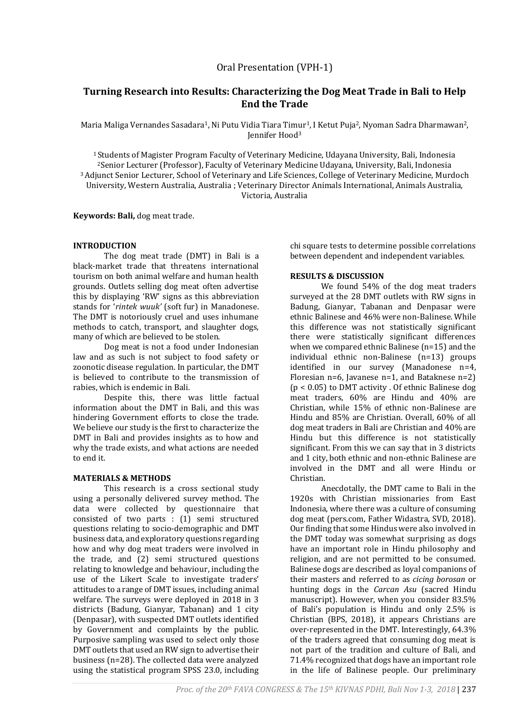# **Turning Research into Results: Characterizing the Dog Meat Trade in Bali to Help End the Trade**

Maria Maliga Vernandes Sasadara<sup>1</sup>, Ni Putu Vidia Tiara Timur<sup>1</sup>, I Ketut Puja<sup>2</sup>, Nyoman Sadra Dharmawan<sup>2</sup>, Jennifer Hood<sup>3</sup>

<sup>1</sup>Students of Magister Program Faculty of Veterinary Medicine, Udayana University, Bali, Indonesia <sup>2</sup>Senior Lecturer (Professor), Faculty of Veterinary Medicine Udayana, University, Bali, Indonesia <sup>3</sup>Adjunct Senior Lecturer, School of Veterinary and Life Sciences, College of Veterinary Medicine, Murdoch University, Western Australia, Australia ; Veterinary Director Animals International, Animals Australia, Victoria, Australia

**Keywords: Bali,** dog meat trade.

# **INTRODUCTION**

The dog meat trade (DMT) in Bali is a black-market trade that threatens international tourism on both animal welfare and human health grounds. Outlets selling dog meat often advertise this by displaying 'RW' signs as this abbreviation stands for '*rintek wuuk'* (soft fur) in Manadonese. The DMT is notoriously cruel and uses inhumane methods to catch, transport, and slaughter dogs, many of which are believed to be stolen.

Dog meat is not a food under Indonesian law and as such is not subject to food safety or zoonotic disease regulation. In particular, the DMT is believed to contribute to the transmission of rabies, which is endemic in Bali.

Despite this, there was little factual information about the DMT in Bali, and this was hindering Government efforts to close the trade. We believe our study is the first to characterize the DMT in Bali and provides insights as to how and why the trade exists, and what actions are needed to end it.

# **MATERIALS & METHODS**

This research is a cross sectional study using a personally delivered survey method. The data were collected by questionnaire that consisted of two parts : (1) semi structured questions relating to socio-demographic and DMT business data, and exploratory questions regarding how and why dog meat traders were involved in the trade, and (2) semi structured questions relating to knowledge and behaviour, including the use of the Likert Scale to investigate traders' attitudes to a range of DMT issues, including animal welfare. The surveys were deployed in 2018 in 3 districts (Badung, Gianyar, Tabanan) and 1 city (Denpasar), with suspected DMT outlets identified by Government and complaints by the public. Purposive sampling was used to select only those DMT outlets that used an RW sign to advertise their business (n=28). The collected data were analyzed using the statistical program SPSS 23.0, including

chi square tests to determine possible correlations between dependent and independent variables.

# **RESULTS & DISCUSSION**

We found 54% of the dog meat traders surveyed at the 28 DMT outlets with RW signs in Badung, Gianyar, Tabanan and Denpasar were ethnic Balinese and 46% were non-Balinese. While this difference was not statistically significant there were statistically significant differences when we compared ethnic Balinese (n=15) and the individual ethnic non-Balinese (n=13) groups identified in our survey (Manadonese n=4, Floresian n=6, Javanese n=1, and Bataknese n=2) (p < 0.05) to DMT activity . Of ethnic Balinese dog meat traders, 60% are Hindu and 40% are Christian, while 15% of ethnic non-Balinese are Hindu and 85% are Christian. Overall, 60% of all dog meat traders in Bali are Christian and 40% are Hindu but this difference is not statistically significant. From this we can say that in 3 districts and 1 city, both ethnic and non-ethnic Balinese are involved in the DMT and all were Hindu or Christian.

Anecdotally, the DMT came to Bali in the 1920s with Christian missionaries from East Indonesia, where there was a culture of consuming dog meat (pers.com, Father Widastra, SVD, 2018). Our finding that some Hindus were also involved in the DMT today was somewhat surprising as dogs have an important role in Hindu philosophy and religion, and are not permitted to be consumed. Balinese dogs are described as loyal companions of their masters and referred to as *cicing borosan* or hunting dogs in the *Carcan Asu* (sacred Hindu manuscript). However, when you consider 83.5% of Bali's population is Hindu and only 2.5% is Christian (BPS, 2018), it appears Christians are over-represented in the DMT. Interestingly, 64.3% of the traders agreed that consuming dog meat is not part of the tradition and culture of Bali, and 71.4% recognized that dogs have an important role in the life of Balinese people. Our preliminary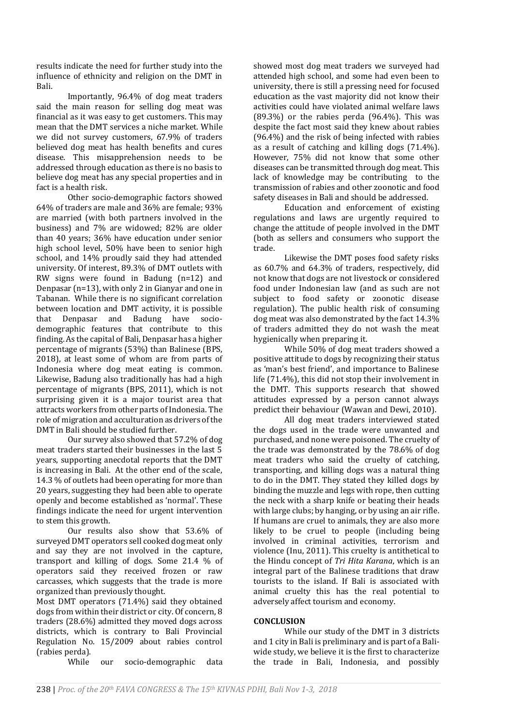results indicate the need for further study into the influence of ethnicity and religion on the DMT in Bali.

Importantly, 96.4% of dog meat traders said the main reason for selling dog meat was financial as it was easy to get customers. This may mean that the DMT services a niche market. While we did not survey customers, 67.9% of traders believed dog meat has health benefits and cures disease. This misapprehension needs to be addressed through education as there is no basis to believe dog meat has any special properties and in fact is a health risk.

Other socio-demographic factors showed 64% of traders are male and 36% are female; 93% are married (with both partners involved in the business) and 7% are widowed; 82% are older than 40 years; 36% have education under senior high school level, 50% have been to senior high school, and 14% proudly said they had attended university. Of interest, 89.3% of DMT outlets with RW signs were found in Badung (n=12) and Denpasar (n=13), with only 2 in Gianyar and one in Tabanan. While there is no significant correlation between location and DMT activity, it is possible that Denpasar and Badung have sociodemographic features that contribute to this finding. As the capital of Bali, Denpasar has a higher percentage of migrants (53%) than Balinese (BPS, 2018), at least some of whom are from parts of Indonesia where dog meat eating is common. Likewise, Badung also traditionally has had a high percentage of migrants (BPS, 2011), which is not surprising given it is a major tourist area that attracts workers from other parts of Indonesia. The role of migration and acculturation as drivers of the DMT in Bali should be studied further.

Our survey also showed that 57.2% of dog meat traders started their businesses in the last 5 years, supporting anecdotal reports that the DMT is increasing in Bali. At the other end of the scale, 14.3 % of outlets had been operating for more than 20 years, suggesting they had been able to operate openly and become established as 'normal'. These findings indicate the need for urgent intervention to stem this growth.

Our results also show that 53.6% of surveyed DMT operators sell cooked dog meat only and say they are not involved in the capture, transport and killing of dogs. Some 21.4 % of operators said they received frozen or raw carcasses, which suggests that the trade is more organized than previously thought.

Most DMT operators (71.4%) said they obtained dogs from within their district or city. Of concern, 8 traders (28.6%) admitted they moved dogs across districts, which is contrary to Bali Provincial Regulation No. 15/2009 about rabies control (rabies perda).

While our socio-demographic data

showed most dog meat traders we surveyed had attended high school, and some had even been to university, there is still a pressing need for focused education as the vast majority did not know their activities could have violated animal welfare laws  $(89.3%)$  or the rabies perda  $(96.4%)$ . This was despite the fact most said they knew about rabies (96.4%) and the risk of being infected with rabies as a result of catching and killing dogs (71.4%). However, 75% did not know that some other diseases can be transmitted through dog meat. This lack of knowledge may be contributing to the transmission of rabies and other zoonotic and food safety diseases in Bali and should be addressed.

Education and enforcement of existing regulations and laws are urgently required to change the attitude of people involved in the DMT (both as sellers and consumers who support the trade.

Likewise the DMT poses food safety risks as 60.7% and 64.3% of traders, respectively, did not know that dogs are not livestock or considered food under Indonesian law (and as such are not subject to food safety or zoonotic disease regulation). The public health risk of consuming dog meat was also demonstrated by the fact 14.3% of traders admitted they do not wash the meat hygienically when preparing it.

While 50% of dog meat traders showed a positive attitude to dogs by recognizing their status as 'man's best friend', and importance to Balinese life (71.4%), this did not stop their involvement in the DMT. This supports research that showed attitudes expressed by a person cannot always predict their behaviour (Wawan and Dewi, 2010).

All dog meat traders interviewed stated the dogs used in the trade were unwanted and purchased, and none were poisoned. The cruelty of the trade was demonstrated by the 78.6% of dog meat traders who said the cruelty of catching, transporting, and killing dogs was a natural thing to do in the DMT. They stated they killed dogs by binding the muzzle and legs with rope, then cutting the neck with a sharp knife or beating their heads with large clubs; by hanging, or by using an air rifle. If humans are cruel to animals, they are also more likely to be cruel to people (including being involved in criminal activities, terrorism and violence (Inu, 2011). This cruelty is antithetical to the Hindu concept of *Tri Hita Karana*, which is an integral part of the Balinese traditions that draw tourists to the island. If Bali is associated with animal cruelty this has the real potential to adversely affect tourism and economy.

# **CONCLUSION**

While our study of the DMT in 3 districts and 1 city in Bali is preliminary and is part of a Baliwide study, we believe it is the first to characterize the trade in Bali, Indonesia, and possibly